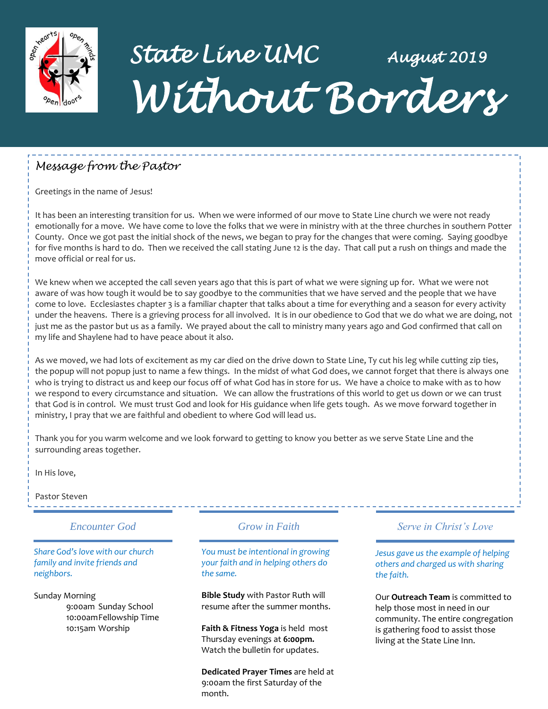

## *State Line UMC August 2019 Without Borders*

### *Message from the Pastor*

Greetings in the name of Jesus!

It has been an interesting transition for us. When we were informed of our move to State Line church we were not ready emotionally for a move. We have come to love the folks that we were in ministry with at the three churches in southern Potter County. Once we got past the initial shock of the news, we began to pray for the changes that were coming. Saying goodbye for five months is hard to do. Then we received the call stating June 12 is the day. That call put a rush on things and made the move official or real for us.

We knew when we accepted the call seven years ago that this is part of what we were signing up for. What we were not aware of was how tough it would be to say goodbye to the communities that we have served and the people that we have come to love. Ecclesiastes chapter 3 is a familiar chapter that talks about a time for everything and a season for every activity under the heavens. There is a grieving process for all involved. It is in our obedience to God that we do what we are doing, not just me as the pastor but us as a family. We prayed about the call to ministry many years ago and God confirmed that call on my life and Shaylene had to have peace about it also.

As we moved, we had lots of excitement as my car died on the drive down to State Line, Ty cut his leg while cutting zip ties, the popup will not popup just to name a few things. In the midst of what God does, we cannot forget that there is always one who is trying to distract us and keep our focus off of what God has in store for us. We have a choice to make with as to how we respond to every circumstance and situation. We can allow the frustrations of this world to get us down or we can trust that God is in control. We must trust God and look for His guidance when life gets tough. As we move forward together in ministry, I pray that we are faithful and obedient to where God will lead us.

Thank you for you warm welcome and we look forward to getting to know you better as we serve State Line and the surrounding areas together.

In His love,

Pastor Steven

### *Encounter God Grow in Faith*

*Share God's love with our church family and invite friends and neighbors.*

Sunday Morning 9:00am Sunday School 10:00amFellowship Time 10:15am Worship

*You must be intentional in growing your faith and in helping others do the same.*

**Bible Study** with Pastor Ruth will resume after the summer months.

**Faith & Fitness Yoga** is held most Thursday evenings at **6:00pm.** Watch the bulletin for updates.

**Dedicated Prayer Times** are held at 9:00am the first Saturday of the month.

### *Serve in Christ's Love*

----------------------

*Jesus gave us the example of helping others and charged us with sharing the faith.*

Our **Outreach Team** is committed to help those most in need in our community. The entire congregation is gathering food to assist those living at the State Line Inn.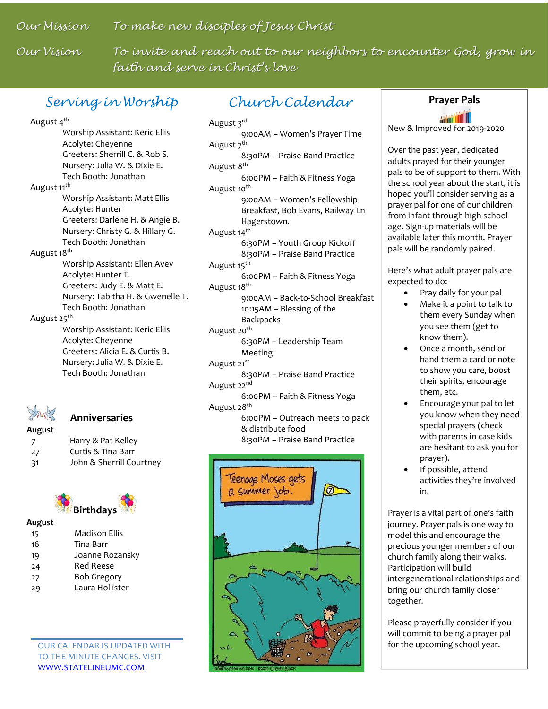*Our Mission To make new disciples of Jesus Christ*

*Our Vision To invite and reach out to our neighbors to encounter God, grow in faith and serve in Christ's love*

### *Serving in Worship* **Prayer Pals**

August 4<sup>th</sup> Worship Assistant: Keric Ellis Acolyte: Cheyenne Greeters: Sherrill C. & Rob S. Nursery: Julia W. & Dixie E. Tech Booth: Jonathan August 11<sup>th</sup> Worship Assistant: Matt Ellis Acolyte: Hunter Greeters: Darlene H. & Angie B. Nursery: Christy G. & Hillary G. Tech Booth: Jonathan August 18<sup>th</sup> Worship Assistant: Ellen Avey Acolyte: Hunter T. Greeters: Judy E. & Matt E. Nursery: Tabitha H. & Gwenelle T. Tech Booth: Jonathan August 25<sup>th</sup> Worship Assistant: Keric Ellis Acolyte: Cheyenne Greeters: Alicia E. & Curtis B. Nursery: Julia W. & Dixie E. Tech Booth: Jonathan



### **Anniversaries**

**August** Harry & Pat Kelley Curtis & Tina Barr John & Sherrill Courtney



### **August**

| 15 | <b>Madison Ellis</b> |
|----|----------------------|
| 16 | Tina Barr            |
| 19 | Joanne Rozansky      |
| 24 | Red Reese            |
| 27 | <b>Bob Gregory</b>   |
| 29 | Laura Hollister      |

OUR CALENDAR IS UPDATED WITH TO-THE-MINUTE CHANGES. VISIT [WWW.STATELINEUMC.COM](http://www.statelineumc.com/)

### *Church Calendar*

August 3rd 9:00AM – Women's Prayer Time August 7<sup>th</sup> 8:30PM – Praise Band Practice August 8<sup>th</sup> 6:00PM – Faith & Fitness Yoga August 10<sup>th</sup> 9:00AM – Women's Fellowship Breakfast, Bob Evans, Railway Ln Hagerstown. August 14<sup>th</sup> 6:30PM – Youth Group Kickoff 8:30PM – Praise Band Practice August 15<sup>th</sup> 6:00PM – Faith & Fitness Yoga August 18<sup>th</sup> 9:00AM – Back-to-School Breakfast 10:15AM – Blessing of the Backpacks August 20<sup>th</sup> 6:30PM – Leadership Team Meeting August 21st 8:30PM – Praise Band Practice August 22<sup>nd</sup> 6:00PM – Faith & Fitness Yoga August 28<sup>th</sup> 6:00PM – Outreach meets to pack & distribute food 8:30PM – Praise Band Practice



New & Improved for 2019-2020

Over the past year, dedicated adults prayed for their younger pals to be of support to them. With the school year about the start, it is hoped you'll consider serving as a prayer pal for one of our children from infant through high school age. Sign-up materials will be available later this month. Prayer pals will be randomly paired.

Here's what adult prayer pals are expected to do:

- Pray daily for your pal
- Make it a point to talk to them every Sunday when you see them (get to know them).
- Once a month, send or hand them a card or note to show you care, boost their spirits, encourage them, etc.
- Encourage your pal to let you know when they need special prayers (check with parents in case kids are hesitant to ask you for prayer).
- If possible, attend activities they're involved in.

Prayer is a vital part of one's faith journey. Prayer pals is one way to model this and encourage the precious younger members of our church family along their walks. Participation will build intergenerational relationships and bring our church family closer together.

Please prayerfully consider if you will commit to being a prayer pal for the upcoming school year.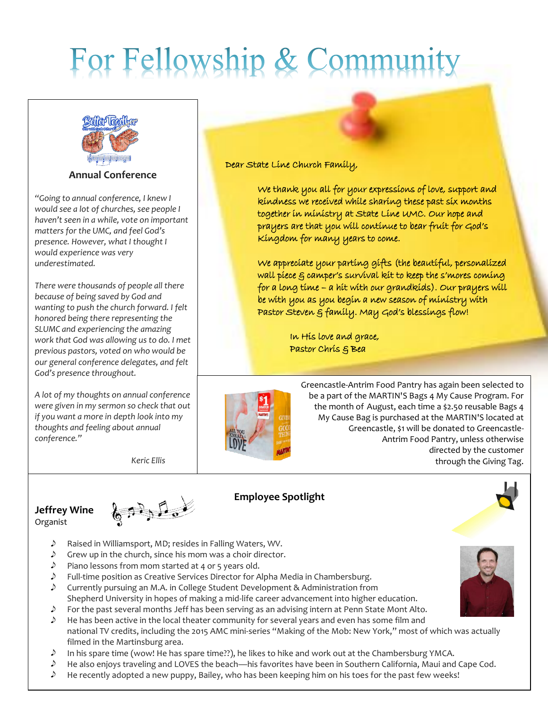# For Fellowship & Community



**Annual Conference**

 *would experience was very "Going to annual conference, I knew I would see a lot of churches, see people I haven't seen in a while, vote on important matters for the UMC, and feel God's presence. However, what I thought I underestimated.* 

 *SLUMC and experiencing the amazing*  In His love and grace, *work that God was allowing us to do. I met*  previous pastors, voted on who would be **Pastor Chris** & Bea *There were thousands of people all there because of being saved by God and wanting to push the church forward. I felt honored being there representing the our general conference delegates, and felt God's presence throughout.* 

*A lot of my thoughts on annual conference were given in my sermon so check that out if you want a more in depth look into my thoughts and feeling about annual conference."*

*Keric Ellis*

### Dear State Line Church Family,

 We thank you all for your expressions of love, support and kindness we received while sharing these past six months together in ministry at State Line UMC. Our hope and prayers are that you will continue to bear fruit for God's Kingdom for many years to come.

 We appreciate your parting gifts (the beautiful, personalized wall piece  $\xi$  camper's survival kit to keep the s'mores coming for a long time – a hit with our grandkids). Our prayers will be with you as you begin a new season of ministry with Pastor Steven & family. May God's blessings flow!



Greencastle-Antrim Food Pantry has again been selected to be a part of the MARTIN'S Bags 4 My Cause Program. For the month of August, each time a \$2.50 reusable Bags 4 My Cause Bag is purchased at the MARTIN'S located at Greencastle, \$1 will be donated to Greencastle-Antrim Food Pantry, unless otherwise directed by the customer through the Giving Tag.

### **Jeffrey Wine** Organist



### **Employee Spotlight**



- D Raised in Williamsport, MD; resides in Falling Waters, WV.
- $\mathcal{D}$ Grew up in the church, since his mom was a choir director.
- Piano lessons from mom started at 4 or 5 years old.
- $\mathcal{P}$  Full-time position as Creative Services Director for Alpha Media in Chambersburg.
- $\triangle$  Currently pursuing an M.A. in College Student Development & Administration from Shepherd University in hopes of making a mid-life career advancement into higher education.
- $\mathcal{L}$ For the past several months Jeff has been serving as an advising intern at Penn State Mont Alto.
- $\mathcal{D}$ He has been active in the local theater community for several years and even has some film and national TV credits, including the 2015 AMC mini-series "Making of the Mob: New York," most of which was actually filmed in the Martinsburg area.
- $\mathcal{D}$ In his spare time (wow! He has spare time??), he likes to hike and work out at the Chambersburg YMCA.
- $\mathcal{D}$ He also enjoys traveling and LOVES the beach—his favorites have been in Southern California, Maui and Cape Cod.
- $\mathcal{Y}$ He recently adopted a new puppy, Bailey, who has been keeping him on his toes for the past few weeks!

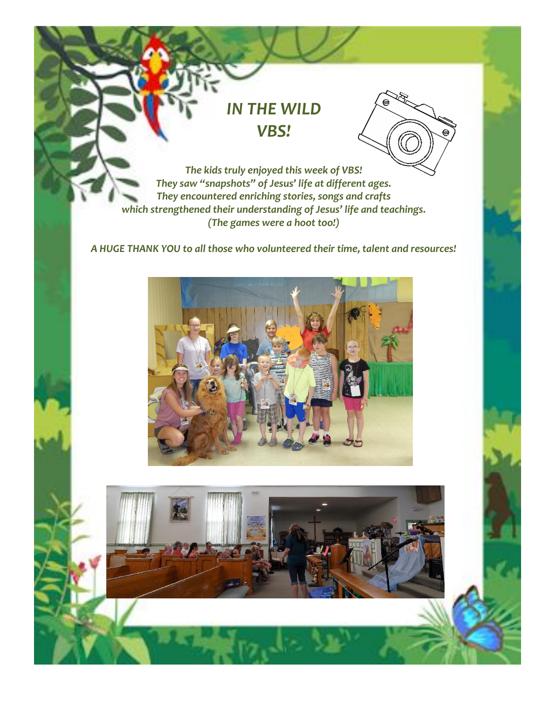## *IN THE WILD VBS!*



*The kids truly enjoyed this week of VBS! They saw "snapshots" of Jesus' life at different ages. They encountered enriching stories, songs and crafts which strengthened their understanding of Jesus' life and teachings. (The games were a hoot too!)*

*A HUGE THANK YOU to all those who volunteered their time, talent and resources!*